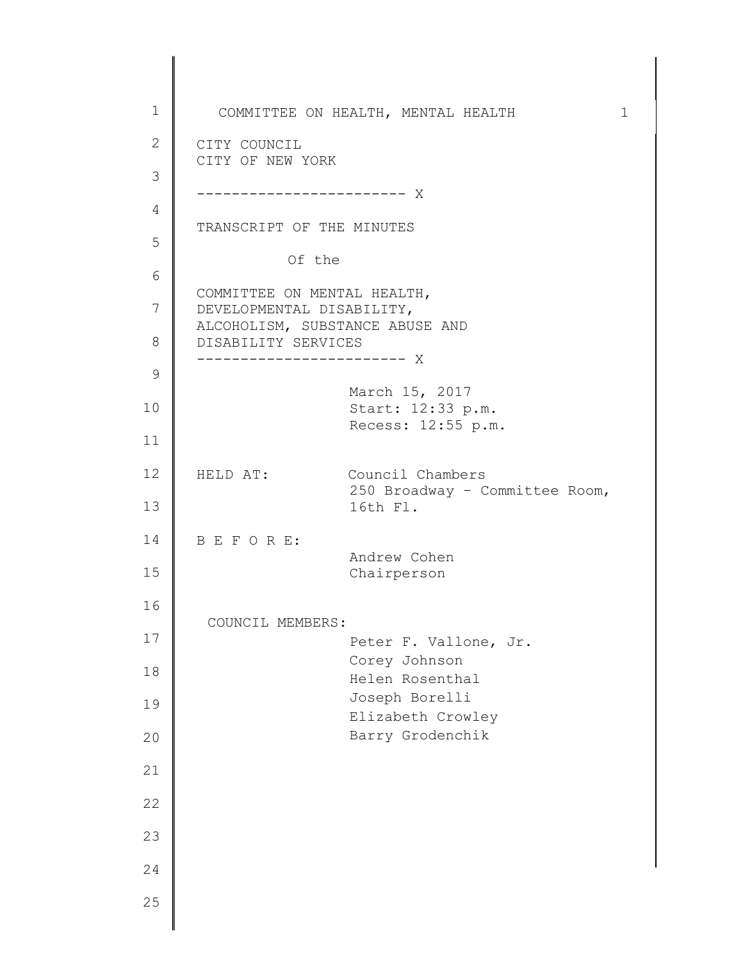1 2 3 4 5 6 7 8 9 10 11 12 13 14 15 16 17 18 19 20 21 22 23 24 25 COMMITTEE ON HEALTH, MENTAL HEALTH 1 CITY COUNCIL CITY OF NEW YORK ------------------------ X TRANSCRIPT OF THE MINUTES Of the COMMITTEE ON MENTAL HEALTH, DEVELOPMENTAL DISABILITY, ALCOHOLISM, SUBSTANCE ABUSE AND DISABILITY SERVICES ------------------------ X March 15, 2017 Start: 12:33 p.m. Recess: 12:55 p.m. HELD AT: Council Chambers 250 Broadway – Committee Room, 16th Fl. B E F O R E: Andrew Cohen Chairperson COUNCIL MEMBERS: Peter F. Vallone, Jr. Corey Johnson Helen Rosenthal Joseph Borelli Elizabeth Crowley Barry Grodenchik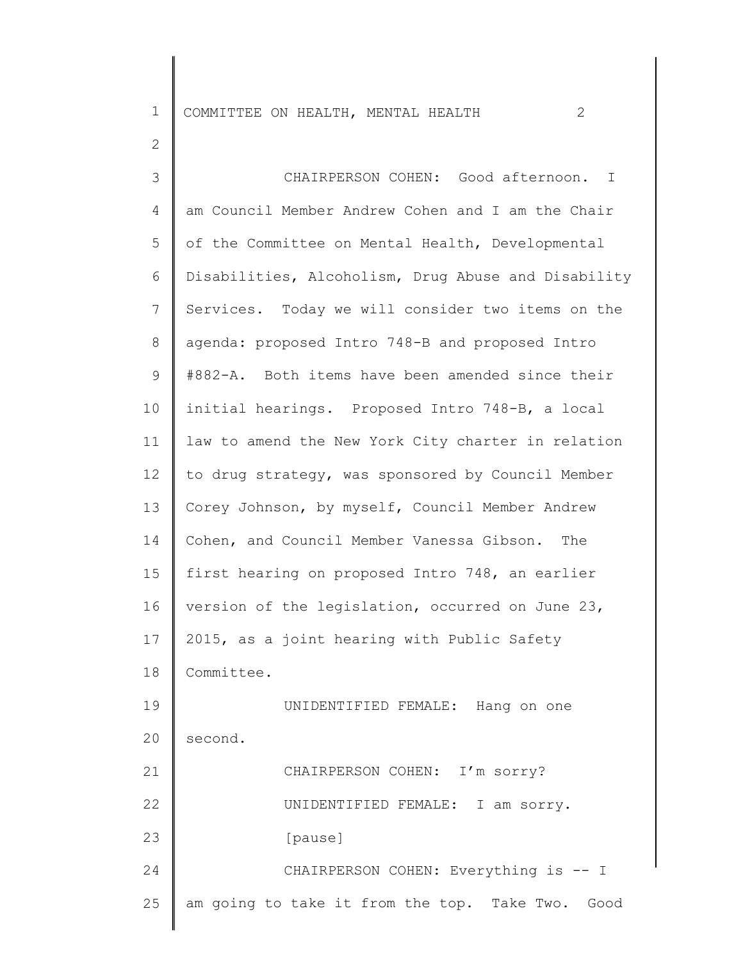1 COMMITTEE ON HEALTH, MENTAL HEALTH 2

2

3 4 5 6 7 8 9 10 11 12 13 14 15 16 17 18 19 20 21 22 23 24 25 CHAIRPERSON COHEN: Good afternoon. I am Council Member Andrew Cohen and I am the Chair of the Committee on Mental Health, Developmental Disabilities, Alcoholism, Drug Abuse and Disability Services. Today we will consider two items on the agenda: proposed Intro 748-B and proposed Intro #882-A. Both items have been amended since their initial hearings. Proposed Intro 748-B, a local law to amend the New York City charter in relation to drug strategy, was sponsored by Council Member Corey Johnson, by myself, Council Member Andrew Cohen, and Council Member Vanessa Gibson. The first hearing on proposed Intro 748, an earlier version of the legislation, occurred on June 23, 2015, as a joint hearing with Public Safety Committee. UNIDENTIFIED FEMALE: Hang on one second. CHAIRPERSON COHEN: I'm sorry? UNIDENTIFIED FEMALE: I am sorry. [pause] CHAIRPERSON COHEN: Everything is -- I am going to take it from the top. Take Two. Good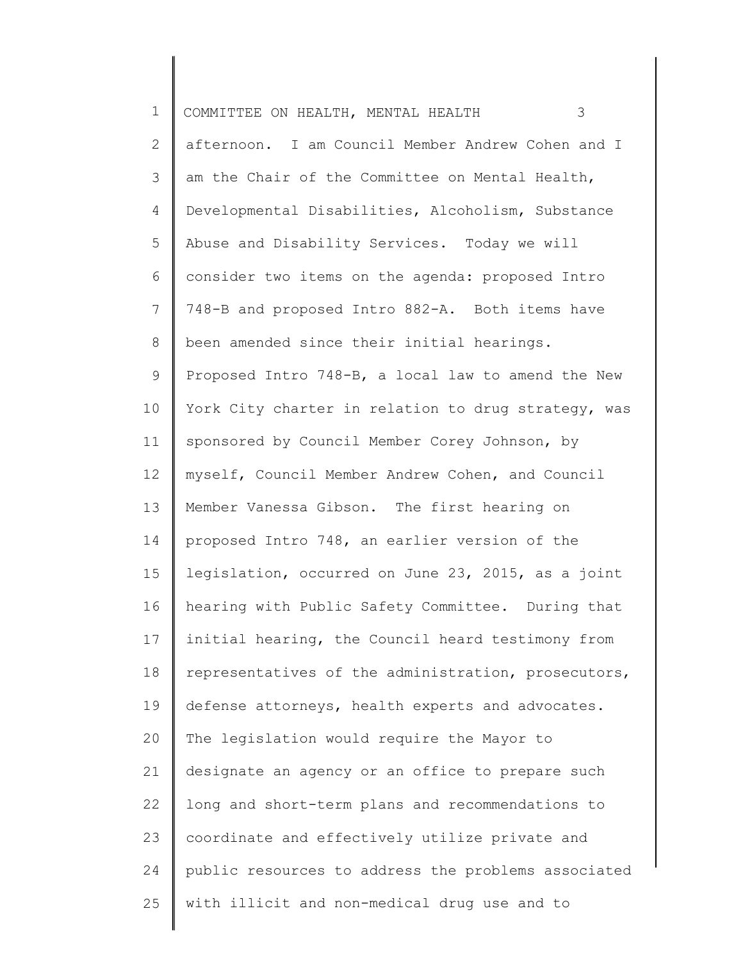| $\mathbf 1$  | 3<br>COMMITTEE ON HEALTH, MENTAL HEALTH             |
|--------------|-----------------------------------------------------|
| $\mathbf{2}$ | afternoon. I am Council Member Andrew Cohen and I   |
| 3            | am the Chair of the Committee on Mental Health,     |
| 4            | Developmental Disabilities, Alcoholism, Substance   |
| 5            | Abuse and Disability Services. Today we will        |
| 6            | consider two items on the agenda: proposed Intro    |
| 7            | 748-B and proposed Intro 882-A. Both items have     |
| 8            | been amended since their initial hearings.          |
| 9            | Proposed Intro 748-B, a local law to amend the New  |
| 10           | York City charter in relation to drug strategy, was |
| 11           | sponsored by Council Member Corey Johnson, by       |
| 12           | myself, Council Member Andrew Cohen, and Council    |
| 13           | Member Vanessa Gibson. The first hearing on         |
| 14           | proposed Intro 748, an earlier version of the       |
| 15           | legislation, occurred on June 23, 2015, as a joint  |
| 16           | hearing with Public Safety Committee. During that   |
| 17           | initial hearing, the Council heard testimony from   |
| 18           | representatives of the administration, prosecutors, |
| 19           | defense attorneys, health experts and advocates.    |
| 20           | The legislation would require the Mayor to          |
| 21           | designate an agency or an office to prepare such    |
| 22           | long and short-term plans and recommendations to    |
| 23           | coordinate and effectively utilize private and      |
| 24           | public resources to address the problems associated |
| 25           | with illicit and non-medical drug use and to        |
|              |                                                     |

 $\begin{array}{c} \hline \end{array}$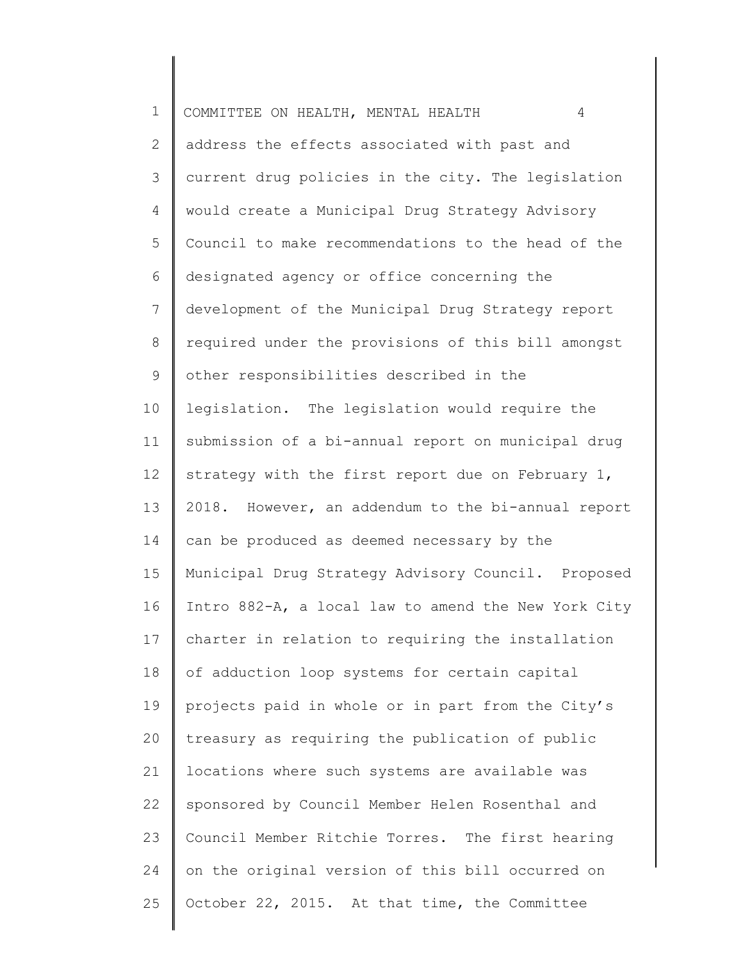| $\mathbf 1$    | COMMITTEE ON HEALTH, MENTAL HEALTH<br>$\overline{4}$ |
|----------------|------------------------------------------------------|
| $\mathbf{2}$   | address the effects associated with past and         |
| $\mathcal{S}$  | current drug policies in the city. The legislation   |
| 4              | would create a Municipal Drug Strategy Advisory      |
| 5              | Council to make recommendations to the head of the   |
| 6              | designated agency or office concerning the           |
| $7\phantom{.}$ | development of the Municipal Drug Strategy report    |
| $8\,$          | required under the provisions of this bill amongst   |
| 9              | other responsibilities described in the              |
| 10             | legislation. The legislation would require the       |
| 11             | submission of a bi-annual report on municipal drug   |
| 12             | strategy with the first report due on February 1,    |
| 13             | 2018. However, an addendum to the bi-annual report   |
| 14             | can be produced as deemed necessary by the           |
| 15             | Municipal Drug Strategy Advisory Council. Proposed   |
| 16             | Intro 882-A, a local law to amend the New York City  |
| 17             | charter in relation to requiring the installation    |
| 18             | of adduction loop systems for certain capital        |
| 19             | projects paid in whole or in part from the City's    |
| 20             | treasury as requiring the publication of public      |
| 21             | locations where such systems are available was       |
| 22             | sponsored by Council Member Helen Rosenthal and      |
| 23             | Council Member Ritchie Torres. The first hearing     |
| 24             | on the original version of this bill occurred on     |
| 25             | October 22, 2015. At that time, the Committee        |
|                |                                                      |

║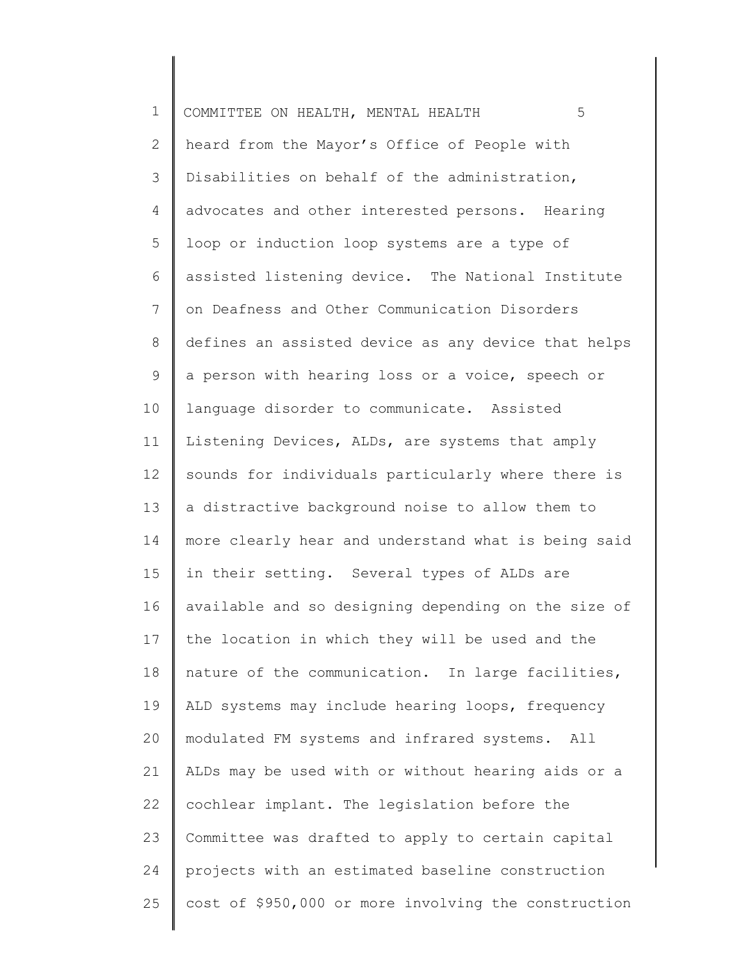| $\mathbf 1$    | 5<br>COMMITTEE ON HEALTH, MENTAL HEALTH              |
|----------------|------------------------------------------------------|
| $\overline{2}$ | heard from the Mayor's Office of People with         |
| 3              | Disabilities on behalf of the administration,        |
| 4              | advocates and other interested persons. Hearing      |
| 5              | loop or induction loop systems are a type of         |
| 6              | assisted listening device. The National Institute    |
| 7              | on Deafness and Other Communication Disorders        |
| $\,8\,$        | defines an assisted device as any device that helps  |
| 9              | a person with hearing loss or a voice, speech or     |
| 10             | language disorder to communicate. Assisted           |
| 11             | Listening Devices, ALDs, are systems that amply      |
| 12             | sounds for individuals particularly where there is   |
| 13             | a distractive background noise to allow them to      |
| 14             | more clearly hear and understand what is being said  |
| 15             | in their setting. Several types of ALDs are          |
| 16             | available and so designing depending on the size of  |
| 17             | the location in which they will be used and the      |
| 18             | nature of the communication. In large facilities,    |
| 19             | ALD systems may include hearing loops, frequency     |
| 20             | modulated FM systems and infrared systems. All       |
| 21             | ALDs may be used with or without hearing aids or a   |
| 22             | cochlear implant. The legislation before the         |
| 23             | Committee was drafted to apply to certain capital    |
| 24             | projects with an estimated baseline construction     |
| 25             | cost of \$950,000 or more involving the construction |
|                |                                                      |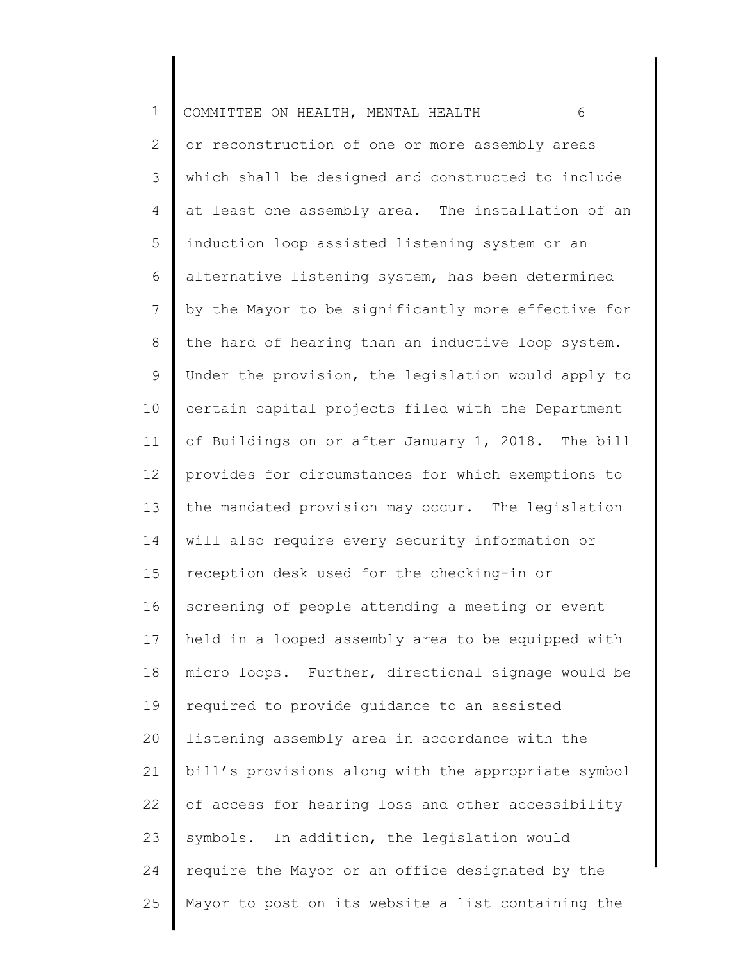1 2 3 4 5 6 7 8 9 10 11 12 13 14 15 16 17 18 19 20 21 22 23 24 25 COMMITTEE ON HEALTH, MENTAL HEALTH 6 or reconstruction of one or more assembly areas which shall be designed and constructed to include at least one assembly area. The installation of an induction loop assisted listening system or an alternative listening system, has been determined by the Mayor to be significantly more effective for the hard of hearing than an inductive loop system. Under the provision, the legislation would apply to certain capital projects filed with the Department of Buildings on or after January 1, 2018. The bill provides for circumstances for which exemptions to the mandated provision may occur. The legislation will also require every security information or reception desk used for the checking-in or screening of people attending a meeting or event held in a looped assembly area to be equipped with micro loops. Further, directional signage would be required to provide guidance to an assisted listening assembly area in accordance with the bill's provisions along with the appropriate symbol of access for hearing loss and other accessibility symbols. In addition, the legislation would require the Mayor or an office designated by the Mayor to post on its website a list containing the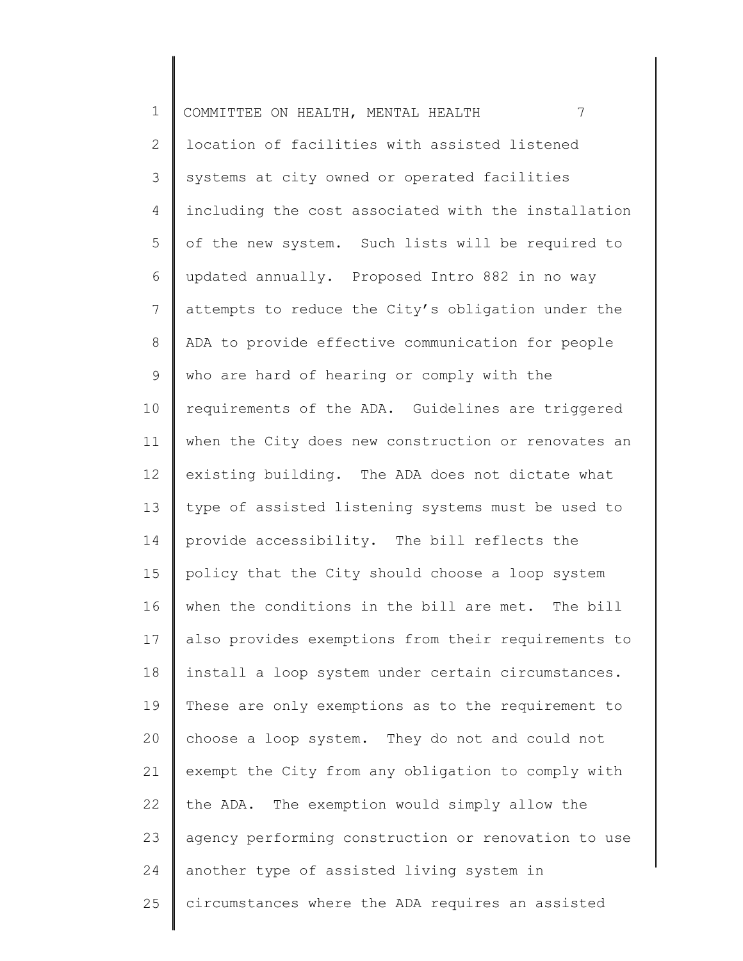| $\mathbf 1$    | 7<br>COMMITTEE ON HEALTH, MENTAL HEALTH             |
|----------------|-----------------------------------------------------|
| $\mathbf{2}$   | location of facilities with assisted listened       |
| $\mathcal{S}$  | systems at city owned or operated facilities        |
| 4              | including the cost associated with the installation |
| 5              | of the new system. Such lists will be required to   |
| 6              | updated annually. Proposed Intro 882 in no way      |
| $\overline{7}$ | attempts to reduce the City's obligation under the  |
| $8\,$          | ADA to provide effective communication for people   |
| 9              | who are hard of hearing or comply with the          |
| 10             | requirements of the ADA. Guidelines are triggered   |
| 11             | when the City does new construction or renovates an |
| 12             | existing building. The ADA does not dictate what    |
| 13             | type of assisted listening systems must be used to  |
| 14             | provide accessibility. The bill reflects the        |
| 15             | policy that the City should choose a loop system    |
| 16             | when the conditions in the bill are met. The bill   |
| 17             | also provides exemptions from their requirements to |
| 18             | install a loop system under certain circumstances.  |
| 19             | These are only exemptions as to the requirement to  |
| 20             | choose a loop system. They do not and could not     |
| 21             | exempt the City from any obligation to comply with  |
| 22             | the ADA. The exemption would simply allow the       |
| 23             | agency performing construction or renovation to use |
| 24             | another type of assisted living system in           |
| 25             | circumstances where the ADA requires an assisted    |
|                |                                                     |

∥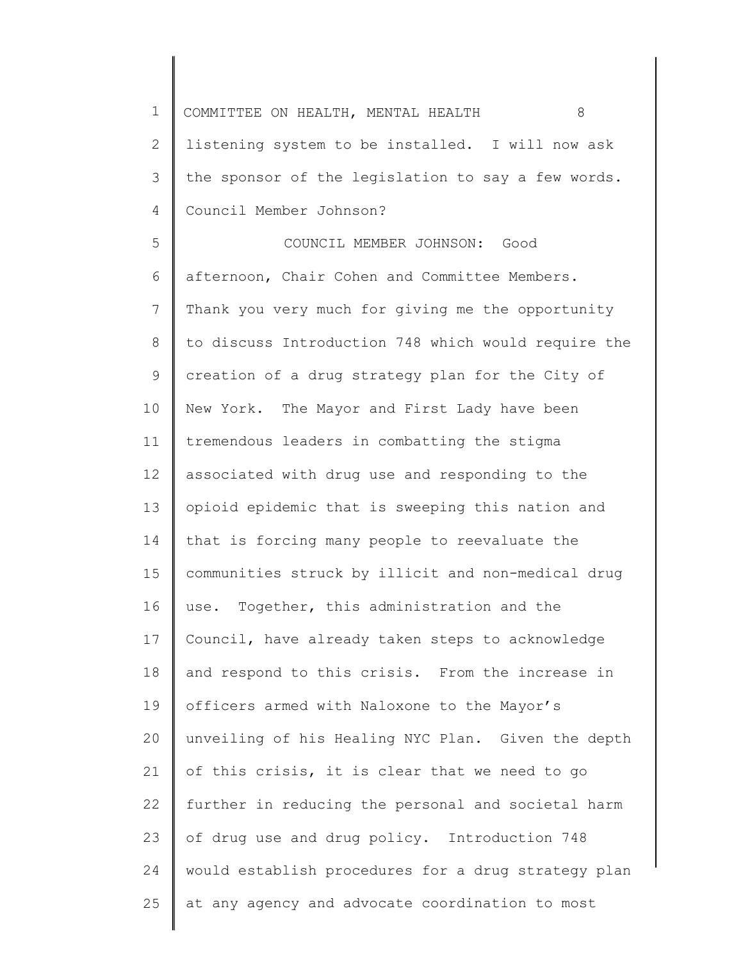| 1  | COMMITTEE ON HEALTH, MENTAL HEALTH<br>8             |
|----|-----------------------------------------------------|
| 2  | listening system to be installed. I will now ask    |
| 3  | the sponsor of the legislation to say a few words.  |
| 4  | Council Member Johnson?                             |
| 5  | COUNCIL MEMBER JOHNSON: Good                        |
| 6  | afternoon, Chair Cohen and Committee Members.       |
| 7  | Thank you very much for giving me the opportunity   |
| 8  | to discuss Introduction 748 which would require the |
| 9  | creation of a drug strategy plan for the City of    |
| 10 | New York. The Mayor and First Lady have been        |
| 11 | tremendous leaders in combatting the stigma         |
| 12 | associated with drug use and responding to the      |
| 13 | opioid epidemic that is sweeping this nation and    |
| 14 | that is forcing many people to reevaluate the       |
| 15 | communities struck by illicit and non-medical drug  |
| 16 | use. Together, this administration and the          |
| 17 | Council, have already taken steps to acknowledge    |
| 18 | and respond to this crisis. From the increase in    |
| 19 | officers armed with Naloxone to the Mayor's         |
| 20 | unveiling of his Healing NYC Plan. Given the depth  |
| 21 | of this crisis, it is clear that we need to go      |
| 22 | further in reducing the personal and societal harm  |
| 23 | of drug use and drug policy. Introduction 748       |
| 24 | would establish procedures for a drug strategy plan |
| 25 | at any agency and advocate coordination to most     |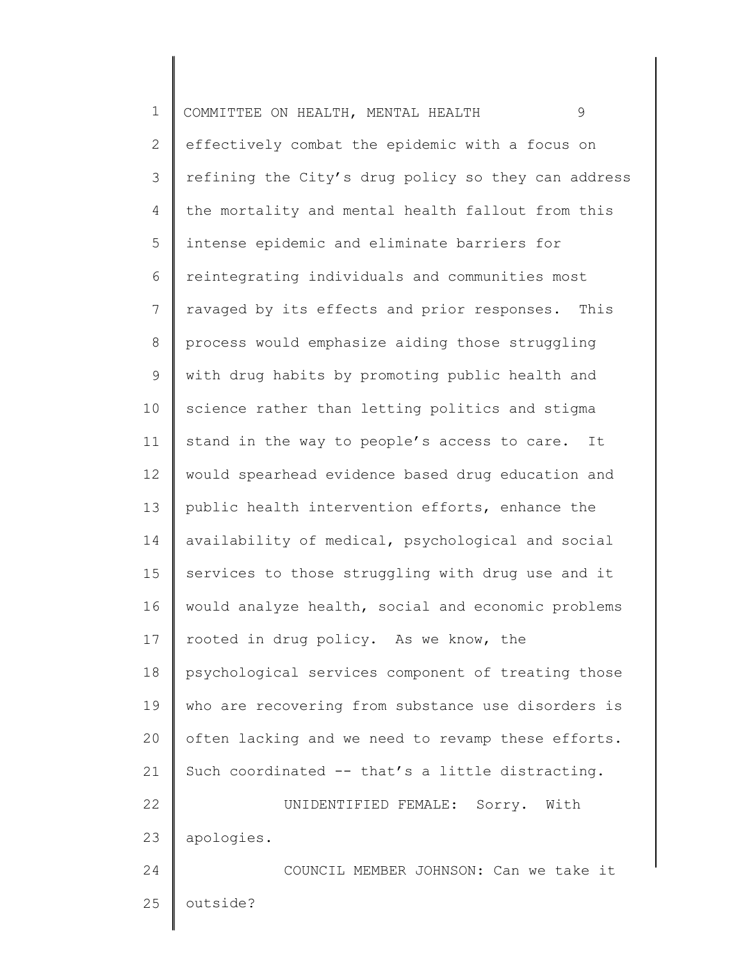| $\mathbf 1$    | 9<br>COMMITTEE ON HEALTH, MENTAL HEALTH             |
|----------------|-----------------------------------------------------|
| $\mathbf{2}$   | effectively combat the epidemic with a focus on     |
| 3              | refining the City's drug policy so they can address |
| 4              | the mortality and mental health fallout from this   |
| 5              | intense epidemic and eliminate barriers for         |
| 6              | reintegrating individuals and communities most      |
| $\overline{7}$ | ravaged by its effects and prior responses. This    |
| $\,8\,$        | process would emphasize aiding those struggling     |
| $\mathsf 9$    | with drug habits by promoting public health and     |
| 10             | science rather than letting politics and stigma     |
| 11             | stand in the way to people's access to care.<br>It  |
| 12             | would spearhead evidence based drug education and   |
| 13             | public health intervention efforts, enhance the     |
| 14             | availability of medical, psychological and social   |
| 15             | services to those struggling with drug use and it   |
| 16             | would analyze health, social and economic problems  |
| 17             | rooted in drug policy. As we know, the              |
| 18             | psychological services component of treating those  |
| 19             | who are recovering from substance use disorders is  |
| 20             | often lacking and we need to revamp these efforts.  |
| 21             | Such coordinated -- that's a little distracting.    |
| 22             | UNIDENTIFIED FEMALE: Sorry.<br>With                 |
| 23             | apologies.                                          |
| 24             | COUNCIL MEMBER JOHNSON: Can we take it              |
| 25             | outside?                                            |
|                |                                                     |

∥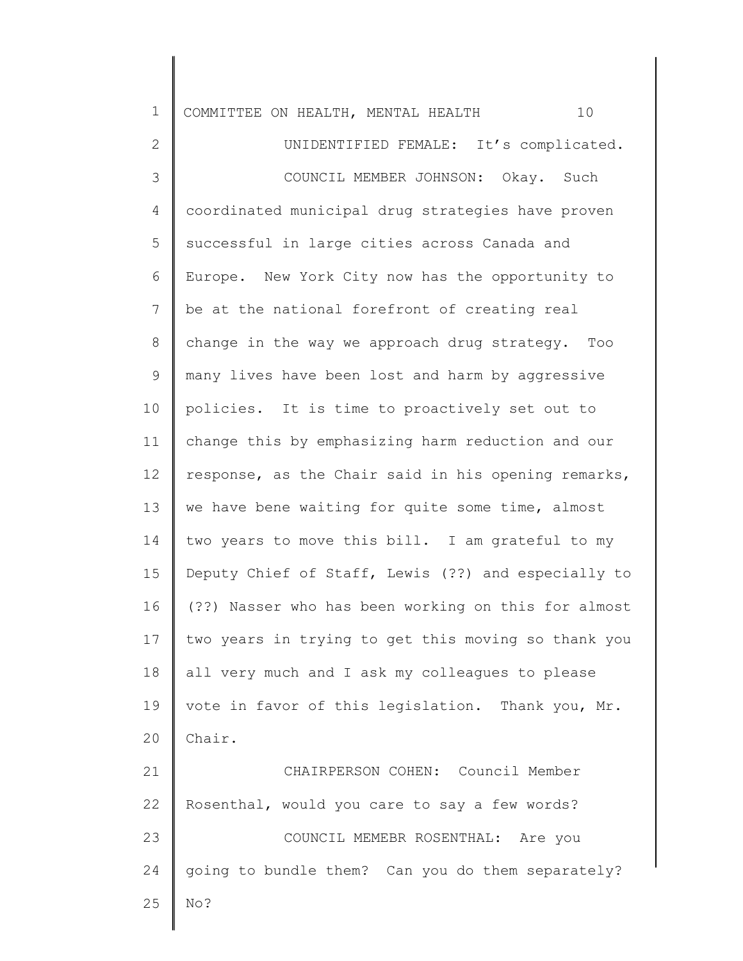| $\mathbf 1$  | 10<br>COMMITTEE ON HEALTH, MENTAL HEALTH            |
|--------------|-----------------------------------------------------|
| $\mathbf{2}$ | UNIDENTIFIED FEMALE: It's complicated.              |
| 3            | COUNCIL MEMBER JOHNSON: Okay. Such                  |
| 4            | coordinated municipal drug strategies have proven   |
| 5            | successful in large cities across Canada and        |
| 6            | Europe. New York City now has the opportunity to    |
| 7            | be at the national forefront of creating real       |
| $\,8\,$      | change in the way we approach drug strategy. Too    |
| 9            | many lives have been lost and harm by aggressive    |
| 10           | policies. It is time to proactively set out to      |
| 11           | change this by emphasizing harm reduction and our   |
| 12           | response, as the Chair said in his opening remarks, |
| 13           | we have bene waiting for quite some time, almost    |
| 14           | two years to move this bill. I am grateful to my    |
| 15           | Deputy Chief of Staff, Lewis (??) and especially to |
| 16           | (??) Nasser who has been working on this for almost |
| 17           | two years in trying to get this moving so thank you |
| 18           | all very much and I ask my colleagues to please     |
| 19           | vote in favor of this legislation. Thank you, Mr.   |
| 20           | Chair.                                              |
| 21           | CHAIRPERSON COHEN: Council Member                   |
| 22           | Rosenthal, would you care to say a few words?       |
| 23           | COUNCIL MEMEBR ROSENTHAL: Are you                   |
| 24           | going to bundle them? Can you do them separately?   |
| 25           | No?                                                 |
|              |                                                     |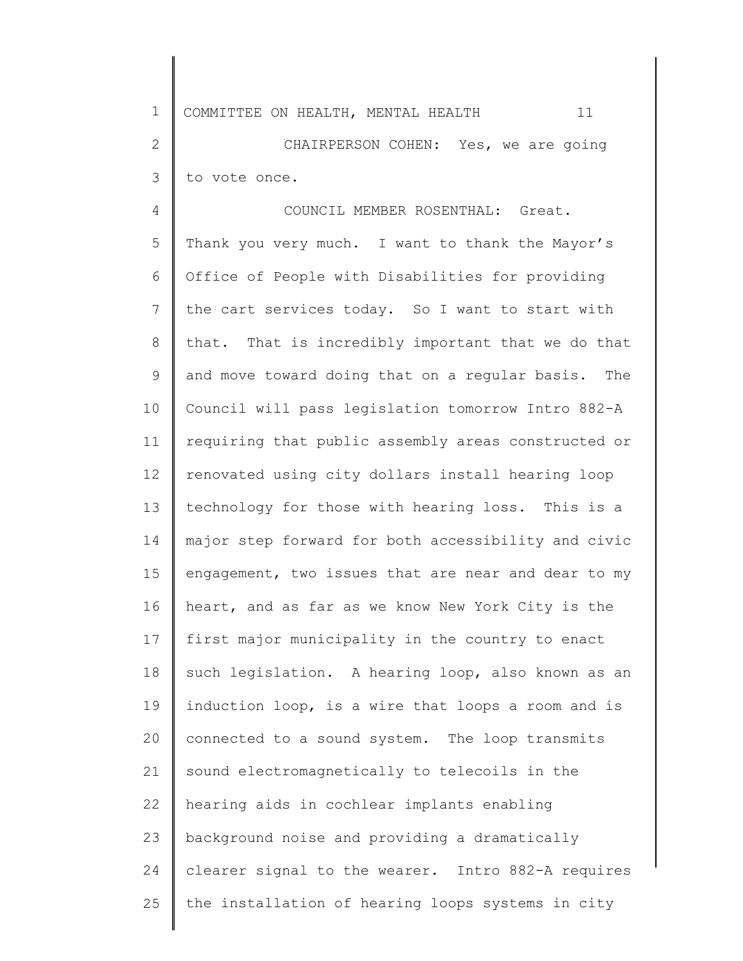1 2 3 4 5 6 7 8 9 10 11 12 13 14 15 16 17 18 19 20 21 22 23 24 COMMITTEE ON HEALTH, MENTAL HEALTH 11 CHAIRPERSON COHEN: Yes, we are going to vote once. COUNCIL MEMBER ROSENTHAL: Great. Thank you very much. I want to thank the Mayor's Office of People with Disabilities for providing the cart services today. So I want to start with that. That is incredibly important that we do that and move toward doing that on a regular basis. The Council will pass legislation tomorrow Intro 882-A requiring that public assembly areas constructed or renovated using city dollars install hearing loop technology for those with hearing loss. This is a major step forward for both accessibility and civic engagement, two issues that are near and dear to my heart, and as far as we know New York City is the first major municipality in the country to enact such legislation. A hearing loop, also known as an induction loop, is a wire that loops a room and is connected to a sound system. The loop transmits sound electromagnetically to telecoils in the hearing aids in cochlear implants enabling background noise and providing a dramatically clearer signal to the wearer. Intro 882-A requires

the installation of hearing loops systems in city

25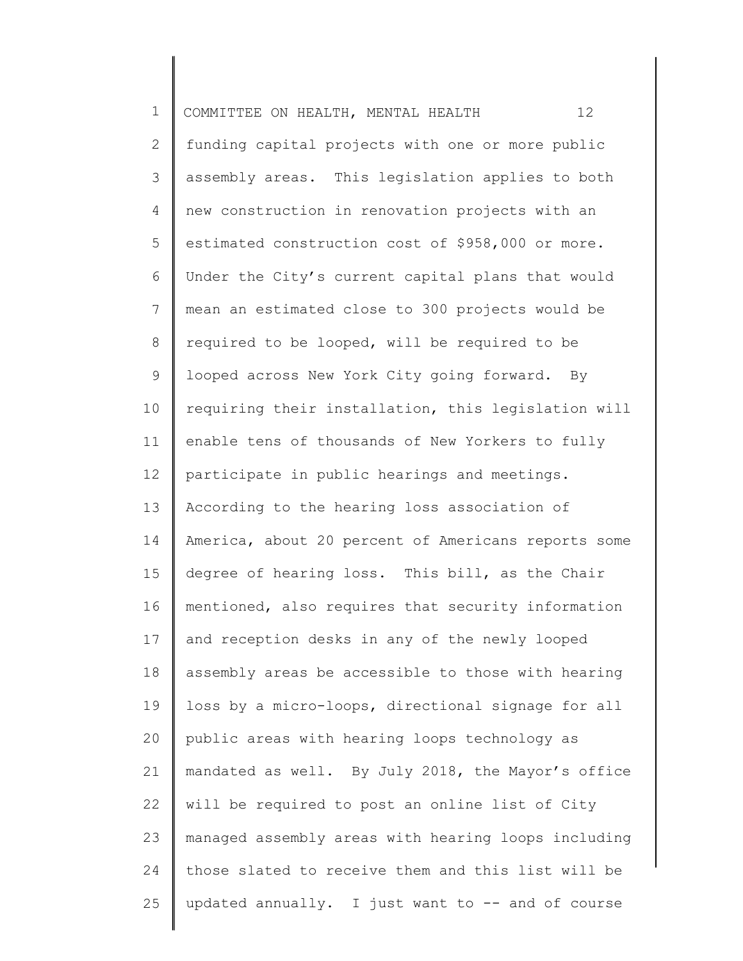| $\mathbf 1$  | 12<br>COMMITTEE ON HEALTH, MENTAL HEALTH            |
|--------------|-----------------------------------------------------|
| $\mathbf{2}$ | funding capital projects with one or more public    |
| $\mathsf S$  | assembly areas. This legislation applies to both    |
| 4            | new construction in renovation projects with an     |
| 5            | estimated construction cost of \$958,000 or more.   |
| 6            | Under the City's current capital plans that would   |
| 7            | mean an estimated close to 300 projects would be    |
| $\,8\,$      | required to be looped, will be required to be       |
| $\mathsf 9$  | looped across New York City going forward. By       |
| 10           | requiring their installation, this legislation will |
| 11           | enable tens of thousands of New Yorkers to fully    |
| 12           | participate in public hearings and meetings.        |
| 13           | According to the hearing loss association of        |
| 14           | America, about 20 percent of Americans reports some |
| 15           | degree of hearing loss. This bill, as the Chair     |
| 16           | mentioned, also requires that security information  |
| 17           | and reception desks in any of the newly looped      |
| 18           | assembly areas be accessible to those with hearing  |
| 19           | loss by a micro-loops, directional signage for all  |
| 20           | public areas with hearing loops technology as       |
| 21           | mandated as well. By July 2018, the Mayor's office  |
| 22           | will be required to post an online list of City     |
| 23           | managed assembly areas with hearing loops including |
| 24           | those slated to receive them and this list will be  |
| 25           | updated annually. I just want to -- and of course   |
|              |                                                     |

║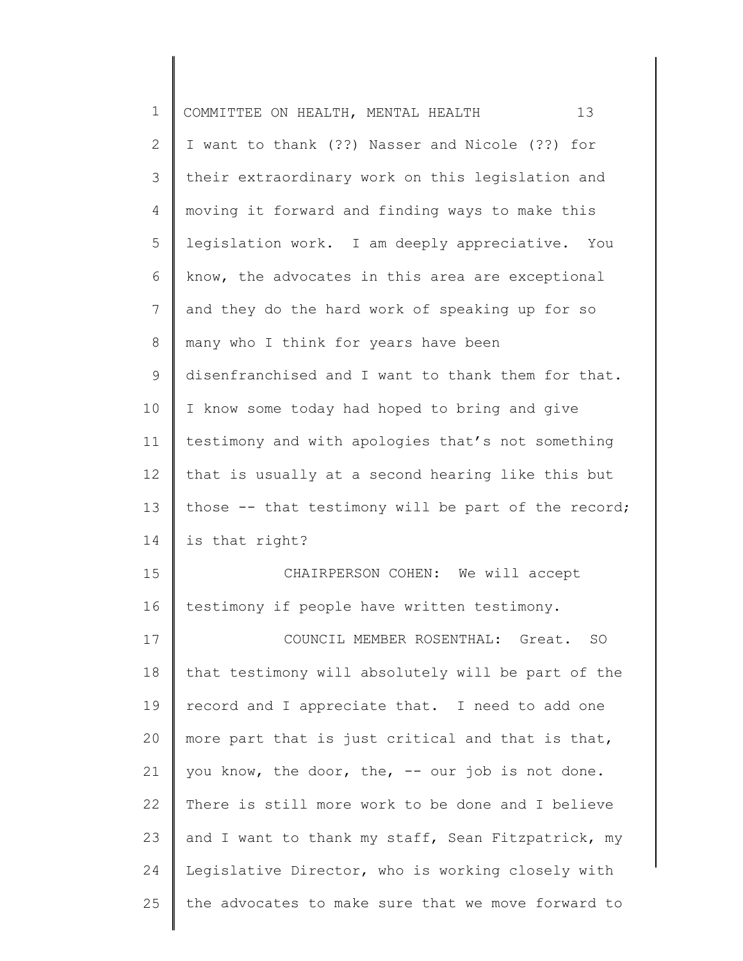| $\mathbf 1$  | 13<br>COMMITTEE ON HEALTH, MENTAL HEALTH            |
|--------------|-----------------------------------------------------|
| $\mathbf{2}$ | I want to thank (??) Nasser and Nicole (??) for     |
| 3            | their extraordinary work on this legislation and    |
| 4            | moving it forward and finding ways to make this     |
| 5            | legislation work. I am deeply appreciative. You     |
| 6            | know, the advocates in this area are exceptional    |
| 7            | and they do the hard work of speaking up for so     |
| 8            | many who I think for years have been                |
| $\mathsf 9$  | disenfranchised and I want to thank them for that.  |
| 10           | I know some today had hoped to bring and give       |
| 11           | testimony and with apologies that's not something   |
| 12           | that is usually at a second hearing like this but   |
| 13           | those -- that testimony will be part of the record; |
| 14           | is that right?                                      |
| 15           | CHAIRPERSON COHEN: We will accept                   |
| 16           | testimony if people have written testimony.         |
| 17           | COUNCIL MEMBER ROSENTHAL: Great.<br><b>SO</b>       |
| 18           | that testimony will absolutely will be part of the  |
| 19           | record and I appreciate that. I need to add one     |
| 20           | more part that is just critical and that is that,   |
| 21           | you know, the door, the, -- our job is not done.    |
| 22           | There is still more work to be done and I believe   |
| 23           | and I want to thank my staff, Sean Fitzpatrick, my  |
| 24           | Legislative Director, who is working closely with   |
| 25           | the advocates to make sure that we move forward to  |
|              |                                                     |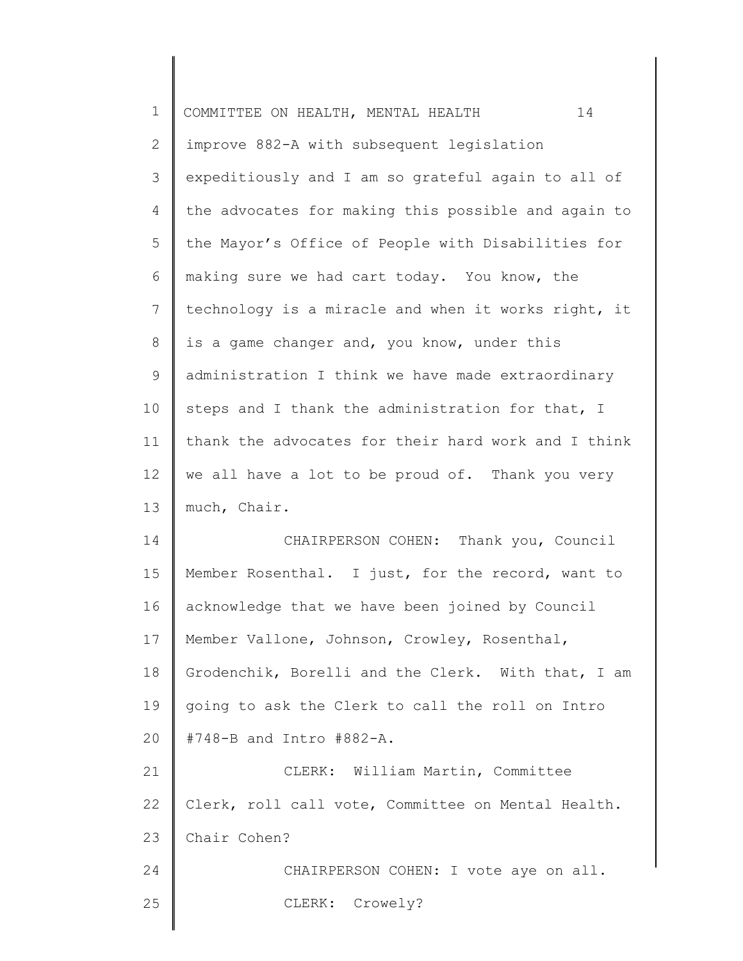| $\mathbf 1$  | 14<br>COMMITTEE ON HEALTH, MENTAL HEALTH            |
|--------------|-----------------------------------------------------|
| $\mathbf{2}$ | improve 882-A with subsequent legislation           |
| 3            | expeditiously and I am so grateful again to all of  |
| 4            | the advocates for making this possible and again to |
| 5            | the Mayor's Office of People with Disabilities for  |
| 6            | making sure we had cart today. You know, the        |
| 7            | technology is a miracle and when it works right, it |
| 8            | is a game changer and, you know, under this         |
| $\mathsf 9$  | administration I think we have made extraordinary   |
| 10           | steps and I thank the administration for that, I    |
| 11           | thank the advocates for their hard work and I think |
| 12           | we all have a lot to be proud of. Thank you very    |
| 13           | much, Chair.                                        |
| 14           | CHAIRPERSON COHEN: Thank you, Council               |
| 15           | Member Rosenthal. I just, for the record, want to   |
| 16           | acknowledge that we have been joined by Council     |
| 17           | Member Vallone, Johnson, Crowley, Rosenthal,        |
| 18           | Grodenchik, Borelli and the Clerk. With that, I am  |
| 19           | going to ask the Clerk to call the roll on Intro    |
| 20           | #748-B and Intro #882-A.                            |
| 21           | CLERK: William Martin, Committee                    |
| 22           | Clerk, roll call vote, Committee on Mental Health.  |
| 23           | Chair Cohen?                                        |
| 24           | CHAIRPERSON COHEN: I vote aye on all.               |
| 25           | CLERK: Crowely?                                     |
|              |                                                     |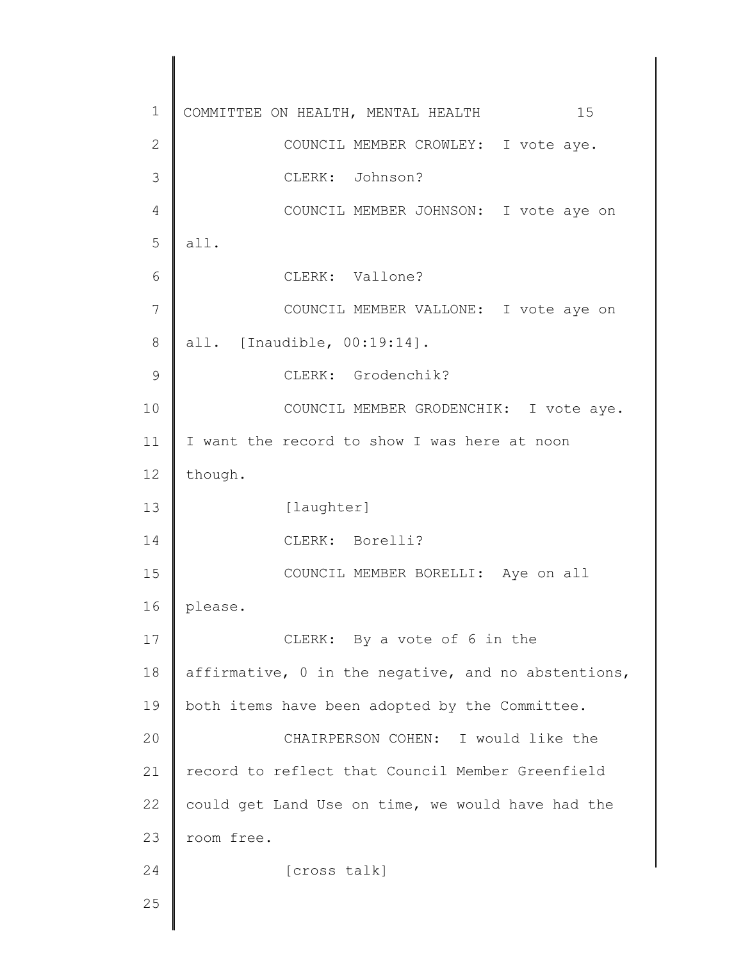1 2 3 4 5 6 7 8 9 10 11 12 13 14 15 16 17 18 19 20 21 22 23 24 25 COMMITTEE ON HEALTH, MENTAL HEALTH 15 COUNCIL MEMBER CROWLEY: I vote aye. CLERK: Johnson? COUNCIL MEMBER JOHNSON: I vote aye on all. CLERK: Vallone? COUNCIL MEMBER VALLONE: I vote aye on all. [Inaudible, 00:19:14]. CLERK: Grodenchik? COUNCIL MEMBER GRODENCHIK: I vote aye. I want the record to show I was here at noon though. [laughter] CLERK: Borelli? COUNCIL MEMBER BORELLI: Aye on all please. CLERK: By a vote of 6 in the affirmative, 0 in the negative, and no abstentions, both items have been adopted by the Committee. CHAIRPERSON COHEN: I would like the record to reflect that Council Member Greenfield could get Land Use on time, we would have had the room free. [cross talk]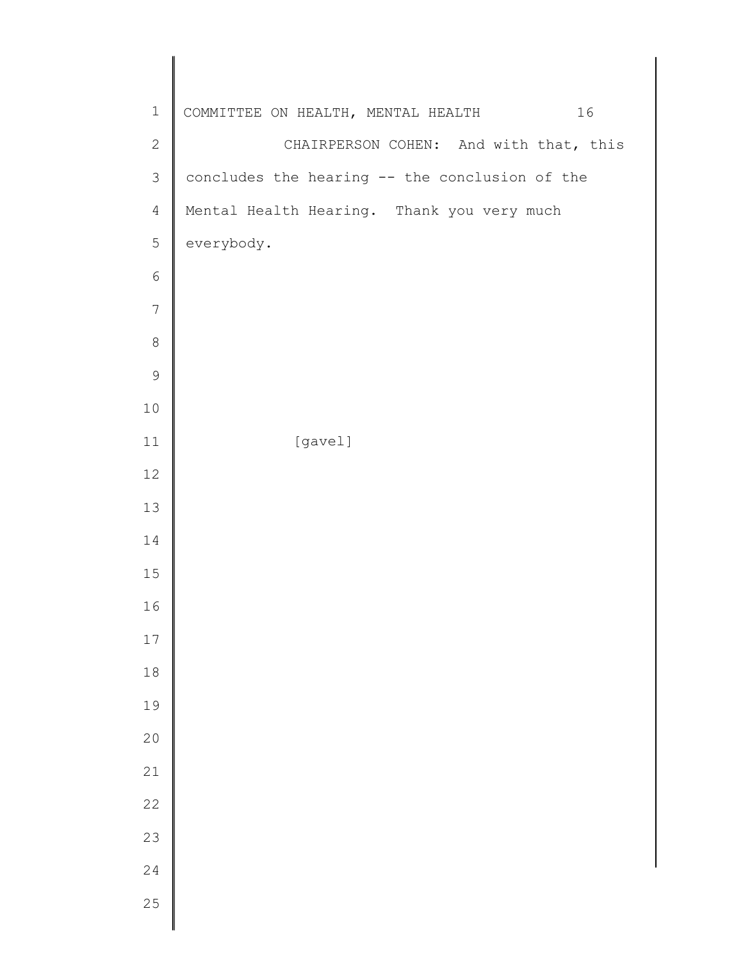| 16<br>COMMITTEE ON HEALTH, MENTAL HEALTH       |
|------------------------------------------------|
| CHAIRPERSON COHEN: And with that, this         |
| concludes the hearing -- the conclusion of the |
| Mental Health Hearing. Thank you very much     |
| everybody.                                     |
|                                                |
|                                                |
|                                                |
|                                                |
|                                                |
| [gavel]                                        |
|                                                |
|                                                |
|                                                |
|                                                |
|                                                |
|                                                |
|                                                |
|                                                |
|                                                |
|                                                |
|                                                |
|                                                |
|                                                |
|                                                |
|                                                |